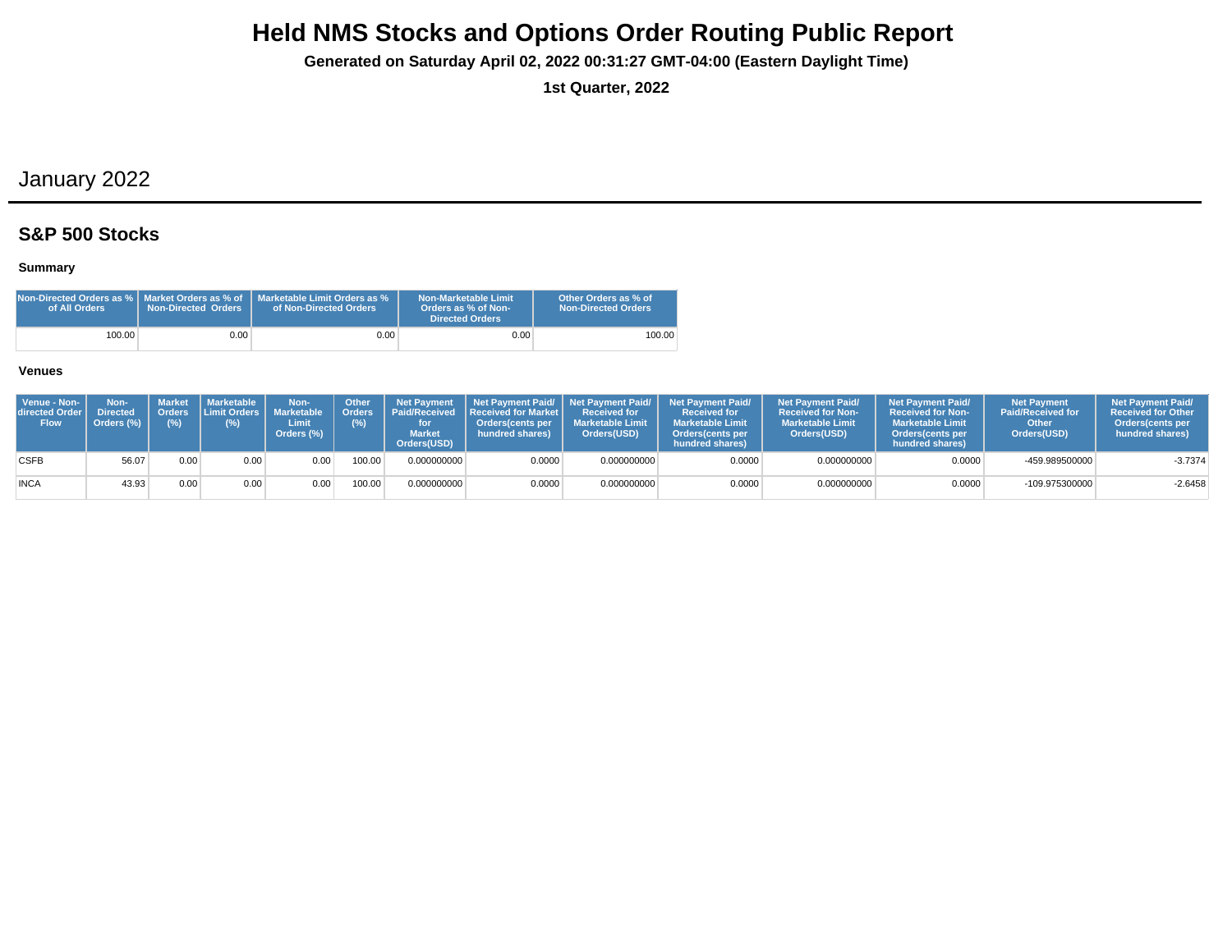**Generated on Saturday April 02, 2022 00:31:27 GMT-04:00 (Eastern Daylight Time)**

**1st Quarter, 2022**

## January 2022

### **S&P 500 Stocks**

### **Summary**

| Non-Directed Orders as %   Market Orders as % of<br>of All Orders | <b>Non-Directed Orders</b> | Marketable Limit Orders as %<br>of Non-Directed Orders | Non-Marketable Limit<br>Orders as % of Non-<br>Directed Orders | Other Orders as % of<br><b>Non-Directed Orders</b> |
|-------------------------------------------------------------------|----------------------------|--------------------------------------------------------|----------------------------------------------------------------|----------------------------------------------------|
| 100.00                                                            | 0.001                      | $0.00\,$                                               | 0.00                                                           | 100.00                                             |

| Venue - Non-<br><b>directed Order I</b><br><b>Flow</b> | Non-<br><b>Directed</b><br>Orders (%) | Market<br>(%) | Marketable  <br>$(\%)$ | Non-<br>Orders Limit Orders Marketable   Orders<br>Limit<br>Orders (%) | <b>Other</b><br>(%) | <b>Market</b><br>Orders(USD) | Net Payment   Net Payment Paid/   Net Payment Paid/  <br><b>Paid/Received Received for Market I</b><br><b>Orders</b> (cents per<br>hundred shares) | <b>Received for</b><br><b>Marketable Limit</b><br>Orders(USD) | <b>Net Payment Paid/</b><br><b>Received for</b><br><b>Marketable Limit</b><br><b>Orders</b> (cents per<br>hundred shares) | <b>Net Payment Paid/</b><br><b>Received for Non-</b><br><b>Marketable Limit</b><br>Orders(USD) | <b>Net Payment Paid/</b><br><b>Received for Non-</b><br><b>Marketable Limit</b><br><b>Orders</b> (cents per<br>hundred shares) | <b>Net Payment</b><br><b>Paid/Received for</b><br>Other<br>Orders(USD) | <b>Net Payment Paid/</b><br><b>Received for Other</b><br>Orders(cents per<br>hundred shares) |
|--------------------------------------------------------|---------------------------------------|---------------|------------------------|------------------------------------------------------------------------|---------------------|------------------------------|----------------------------------------------------------------------------------------------------------------------------------------------------|---------------------------------------------------------------|---------------------------------------------------------------------------------------------------------------------------|------------------------------------------------------------------------------------------------|--------------------------------------------------------------------------------------------------------------------------------|------------------------------------------------------------------------|----------------------------------------------------------------------------------------------|
| <b>CSFB</b>                                            | 56.07                                 | 0.00          | 0.00                   | 0.00                                                                   | 100.00              | 0.000000000                  | 0.0000                                                                                                                                             | 0.000000000                                                   | 0.0000                                                                                                                    | 0.000000000                                                                                    | 0.0000                                                                                                                         | -459.989500000                                                         | $-3.7374$                                                                                    |
| <b>INCA</b>                                            | 43.93                                 | 0.00          | 0.00                   | 0.00                                                                   | 100.00              | 0.000000000                  | 0.0000                                                                                                                                             | 0.000000000                                                   | 0.0000                                                                                                                    | 0.000000000                                                                                    | 0.0000                                                                                                                         | -109.975300000                                                         | $-2.6458$                                                                                    |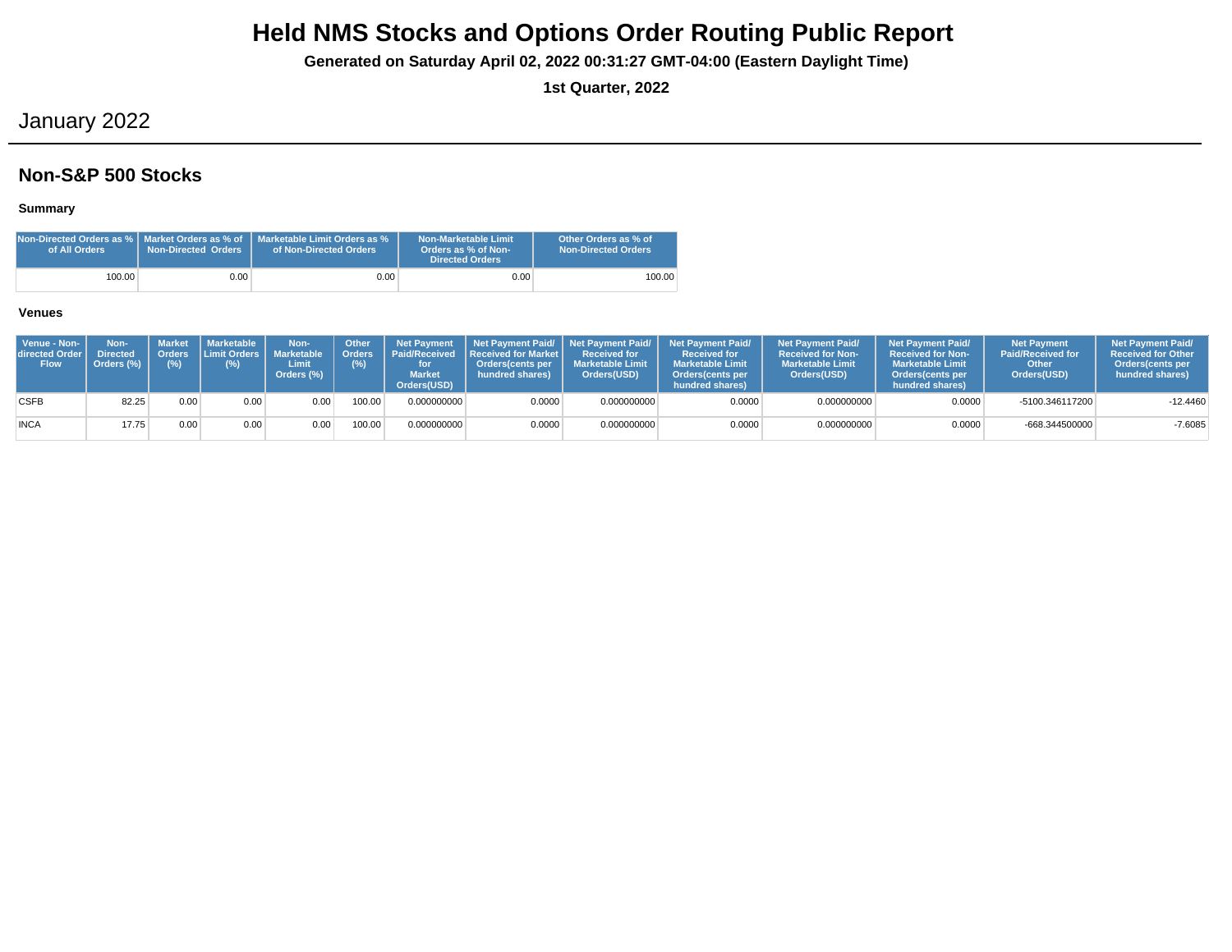**Generated on Saturday April 02, 2022 00:31:27 GMT-04:00 (Eastern Daylight Time)**

**1st Quarter, 2022**

## January 2022

### **Non-S&P 500 Stocks**

### **Summary**

| of All Orders | <b>Non-Directed Orders</b> | $\,$ Non-Directed Orders as % $\,$ Market Orders as % of $\,$ Marketable Limit Orders as % $\,$<br>of Non-Directed Orders | Non-Marketable Limit<br>Orders as % of Non-<br>Directed Orders | Other Orders as % of<br><b>Non-Directed Orders</b> |
|---------------|----------------------------|---------------------------------------------------------------------------------------------------------------------------|----------------------------------------------------------------|----------------------------------------------------|
| 100.00        | 0.00                       | 0.00 <sub>1</sub>                                                                                                         | 0.00                                                           | 100.00                                             |

| Venue - Non-<br>directed Order I<br><b>Flow</b> | Non-<br><b>Directed</b><br>Orders (%) | Orders<br>$(\%)$ | Market   Marketable<br><b>ILimit Orders I</b><br>(%) | Non-<br><b>Marketable</b><br>Limit<br>Orders (%) | <b>Other</b><br><b>Orders</b><br>(%) | <b>Net Payment</b><br><b>Market</b><br>Orders(USD) | Paid/Received Received for Market I<br><b>Orders</b> (cents per<br>hundred shares) | <b>Received for</b><br><b>Marketable Limit</b><br>Orders(USD) | Net Payment Paid/ Net Payment Paid/ Net Payment Paid/<br><b>Received for</b><br><b>Marketable Limit</b><br>Orders (cents per<br>hundred shares) | <b>Net Payment Paid/</b><br><b>Received for Non-</b><br><b>Marketable Limit</b><br>Orders(USD) | <b>Net Payment Paid/</b><br><b>Received for Non-</b><br><b>Marketable Limit</b><br><b>Orders</b> (cents per<br>hundred shares) | <b>Net Payment</b><br><b>Paid/Received for</b><br>Other<br>Orders(USD) | <b>Net Payment Paid/</b><br><b>Received for Other</b><br>Orders (cents per<br>hundred shares) |
|-------------------------------------------------|---------------------------------------|------------------|------------------------------------------------------|--------------------------------------------------|--------------------------------------|----------------------------------------------------|------------------------------------------------------------------------------------|---------------------------------------------------------------|-------------------------------------------------------------------------------------------------------------------------------------------------|------------------------------------------------------------------------------------------------|--------------------------------------------------------------------------------------------------------------------------------|------------------------------------------------------------------------|-----------------------------------------------------------------------------------------------|
| <b>CSFB</b>                                     | 82.25                                 | 0.00             | 0.00                                                 | 0.00                                             | 100.00                               | 0.000000000                                        | 0.0000                                                                             | 0.000000000                                                   | 0.0000                                                                                                                                          | 0.000000000                                                                                    | 0.0000                                                                                                                         | -5100.346117200                                                        | $-12.4460$                                                                                    |
| <b>INCA</b>                                     | 17.75                                 | 0.00             | 0.00                                                 | 0.00                                             | 100.00                               | 0.000000000                                        | 0.0000                                                                             | 0.000000000                                                   | 0.0000                                                                                                                                          | 0.000000000                                                                                    | 0.0000                                                                                                                         | -668.344500000                                                         | $-7.6085$                                                                                     |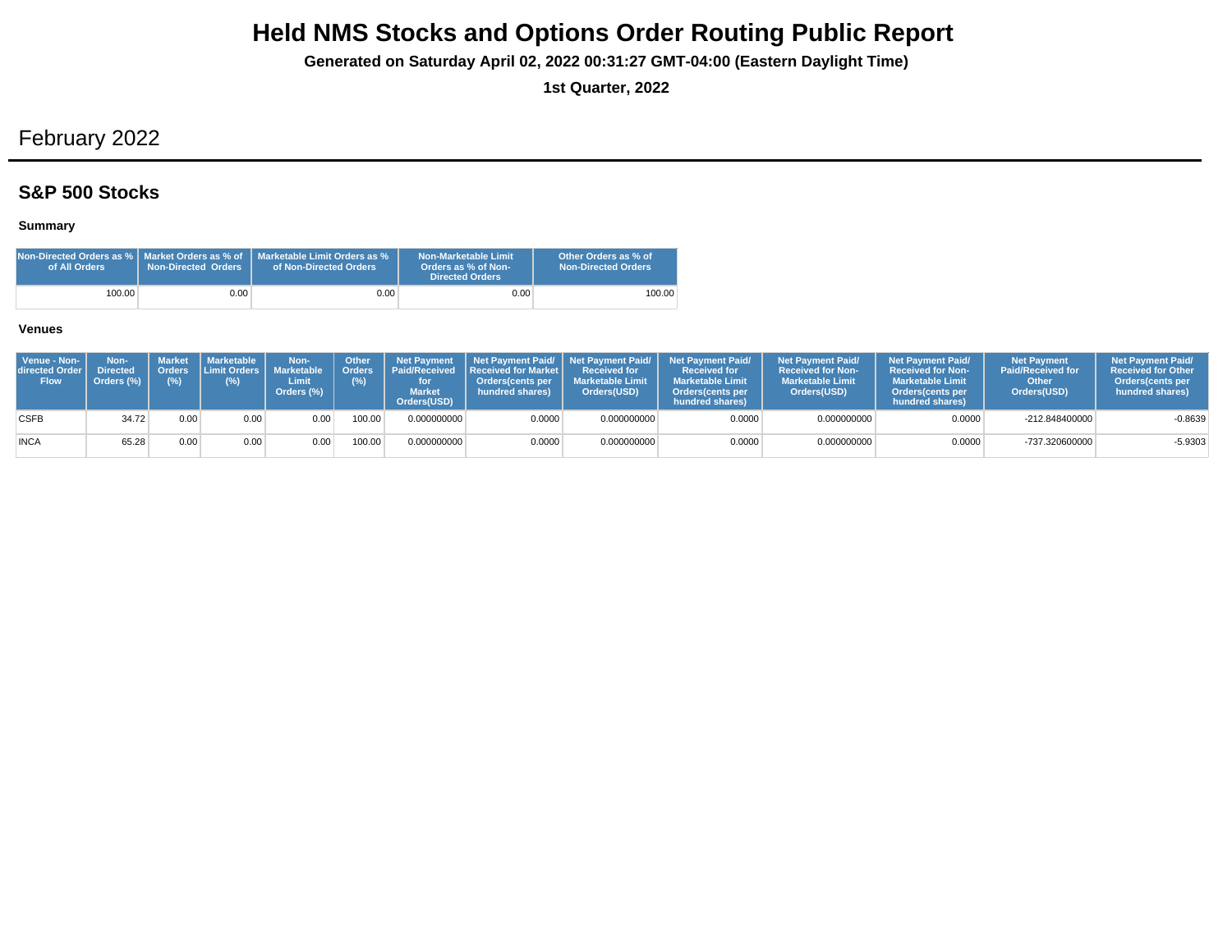**Generated on Saturday April 02, 2022 00:31:27 GMT-04:00 (Eastern Daylight Time)**

**1st Quarter, 2022**

## February 2022

### **S&P 500 Stocks**

### **Summary**

| Non-Directed Orders as %   Market Orders as % of<br>of All Orders | Non-Directed Orders | Marketable Limit Orders as %<br>of Non-Directed Orders | Non-Marketable Limit<br>Orders as % of Non-<br><b>Directed Orders</b> | Other Orders as % of<br><b>Non-Directed Orders</b> |
|-------------------------------------------------------------------|---------------------|--------------------------------------------------------|-----------------------------------------------------------------------|----------------------------------------------------|
| 100.00                                                            | 0.001               | 0.001                                                  | 0.00                                                                  | 100.00                                             |

| Venue - Non-<br>directed Order I<br><b>Flow</b> | Non-<br><b>Directed</b><br>Orders (%) | (% ) | Market   Marketable<br>। Orders ∶l Limit Orders Ⅰ l<br>(%) | Non-<br>Marketable<br>Limit<br>Orders (%) | Other<br>(%) | <b>Net Payment</b><br><b>Market</b><br>Orders(USD) | Orders   Paid/Received   Received for Market  <br>Orders(cents per<br>hundred shares) | <b>Received for</b><br><b>Marketable Limit</b><br>Orders(USD) | Net Payment Paid/ Net Payment Paid/ Net Payment Paid/<br><b>Received for</b><br><b>Marketable Limit</b><br><b>Orders</b> (cents per<br>hundred shares) | <b>Net Payment Paid/</b><br><b>Received for Non-</b><br><b>Marketable Limit</b><br>Orders(USD) | <b>Net Payment Paid/</b><br><b>Received for Non-</b><br><b>Marketable Limit</b><br><b>Orders</b> (cents per<br>hundred shares) | <b>Net Payment</b><br><b>Paid/Received for</b><br>Other<br>Orders(USD) | <b>Net Payment Paid/</b><br><b>Received for Other</b><br><b>Orders</b> (cents per<br>hundred shares) |
|-------------------------------------------------|---------------------------------------|------|------------------------------------------------------------|-------------------------------------------|--------------|----------------------------------------------------|---------------------------------------------------------------------------------------|---------------------------------------------------------------|--------------------------------------------------------------------------------------------------------------------------------------------------------|------------------------------------------------------------------------------------------------|--------------------------------------------------------------------------------------------------------------------------------|------------------------------------------------------------------------|------------------------------------------------------------------------------------------------------|
| <b>CSFB</b>                                     | 34.72                                 | 0.00 | 0.00                                                       | 0.00                                      | '00.00       | 0.000000000                                        | 0.0000                                                                                | 0.000000000                                                   | 0.0000                                                                                                                                                 | 0.000000000                                                                                    | 0.0000                                                                                                                         | $-212.848400000$                                                       | $-0.8639$                                                                                            |
| <b>INCA</b>                                     | 65.28                                 | 0.00 | 0.00                                                       | 0.00 <sub>1</sub>                         | 00.00        | 0.000000000                                        | 0.0000                                                                                | 0.000000000                                                   | 0.0000                                                                                                                                                 | 0.000000000                                                                                    | 0.0000                                                                                                                         | -737.320600000                                                         | $-5.9303$                                                                                            |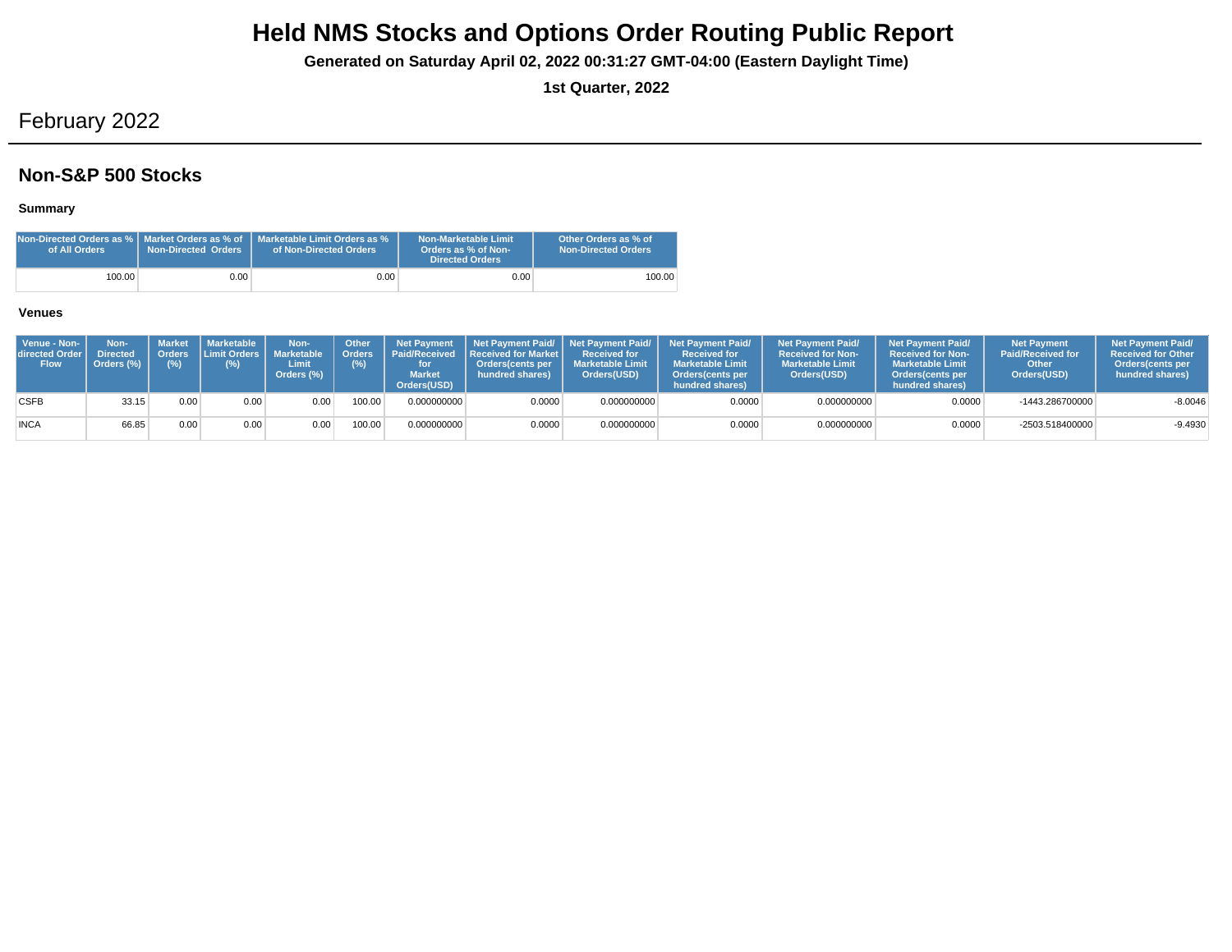**Generated on Saturday April 02, 2022 00:31:27 GMT-04:00 (Eastern Daylight Time)**

**1st Quarter, 2022**

## February 2022

### **Non-S&P 500 Stocks**

### **Summary**

| of All Orders | <b>Non-Directed Orders</b> | Non-Directed Orders as %   Market Orders as % of   Marketable Limit Orders as %<br>of Non-Directed Orders | <b>Non-Marketable Limit</b><br>Orders as % of Non-<br><b>Directed Orders</b> | Other Orders as % of<br><b>Non-Directed Orders</b> |
|---------------|----------------------------|-----------------------------------------------------------------------------------------------------------|------------------------------------------------------------------------------|----------------------------------------------------|
| 100.00        | 0.00                       | $0.00\,$                                                                                                  | 0.00                                                                         | 100.00                                             |

| Venue - Non-<br>directed Order<br><b>Flow</b> | Non-<br><b>Directed</b><br>Orders (%) | Orders<br>(%) | Market   Marketable<br><b>I Limit Orders I</b><br>(%) | Non-<br><b>Marketable</b><br>Limit<br>Orders (%) | Other<br><b>Orders</b><br>(%) | <b>Net Payment</b><br><b>Paid/Received</b><br><b>Market</b><br>Orders(USD) | Received for Market L<br><b>Orders</b> (cents per<br>hundred shares) | <b>Received for</b><br><b>Marketable Limit</b><br>Orders(USD) | Net Payment Paid/ Net Payment Paid/ Net Payment Paid/<br><b>Received for</b><br><b>Marketable Limit</b><br>Orders(cents per<br>hundred shares) | <b>Net Payment Paid/</b><br><b>Received for Non-</b><br><b>Marketable Limit</b><br>Orders(USD) | <b>Net Payment Paid/</b><br><b>Received for Non-</b><br><b>Marketable Limit</b><br><b>Orders</b> (cents per<br>hundred shares) | <b>Net Payment</b><br><b>Paid/Received for</b><br>Other<br>Orders(USD) | <b>Net Payment Paid/</b><br><b>Received for Other</b><br>Orders (cents per<br>hundred shares) |
|-----------------------------------------------|---------------------------------------|---------------|-------------------------------------------------------|--------------------------------------------------|-------------------------------|----------------------------------------------------------------------------|----------------------------------------------------------------------|---------------------------------------------------------------|------------------------------------------------------------------------------------------------------------------------------------------------|------------------------------------------------------------------------------------------------|--------------------------------------------------------------------------------------------------------------------------------|------------------------------------------------------------------------|-----------------------------------------------------------------------------------------------|
| <b>CSFB</b>                                   | 33.15                                 | 0.00          | 0.00                                                  | 0.00                                             | 100.00                        | 0.000000000                                                                | 0.0000                                                               | 0.000000000                                                   | 0.0000                                                                                                                                         | 0.000000000                                                                                    | 0.0000                                                                                                                         | -1443.286700000                                                        | $-8.0046$                                                                                     |
| <b>INCA</b>                                   | 66.85                                 | 0.00          | 0.00                                                  | 0.00                                             | 100.00                        | 0.000000000                                                                | 0.0000                                                               | 0.000000000                                                   | 0.0000                                                                                                                                         | 0.000000000                                                                                    | 0.0000                                                                                                                         | -2503.518400000                                                        | $-9.4930$                                                                                     |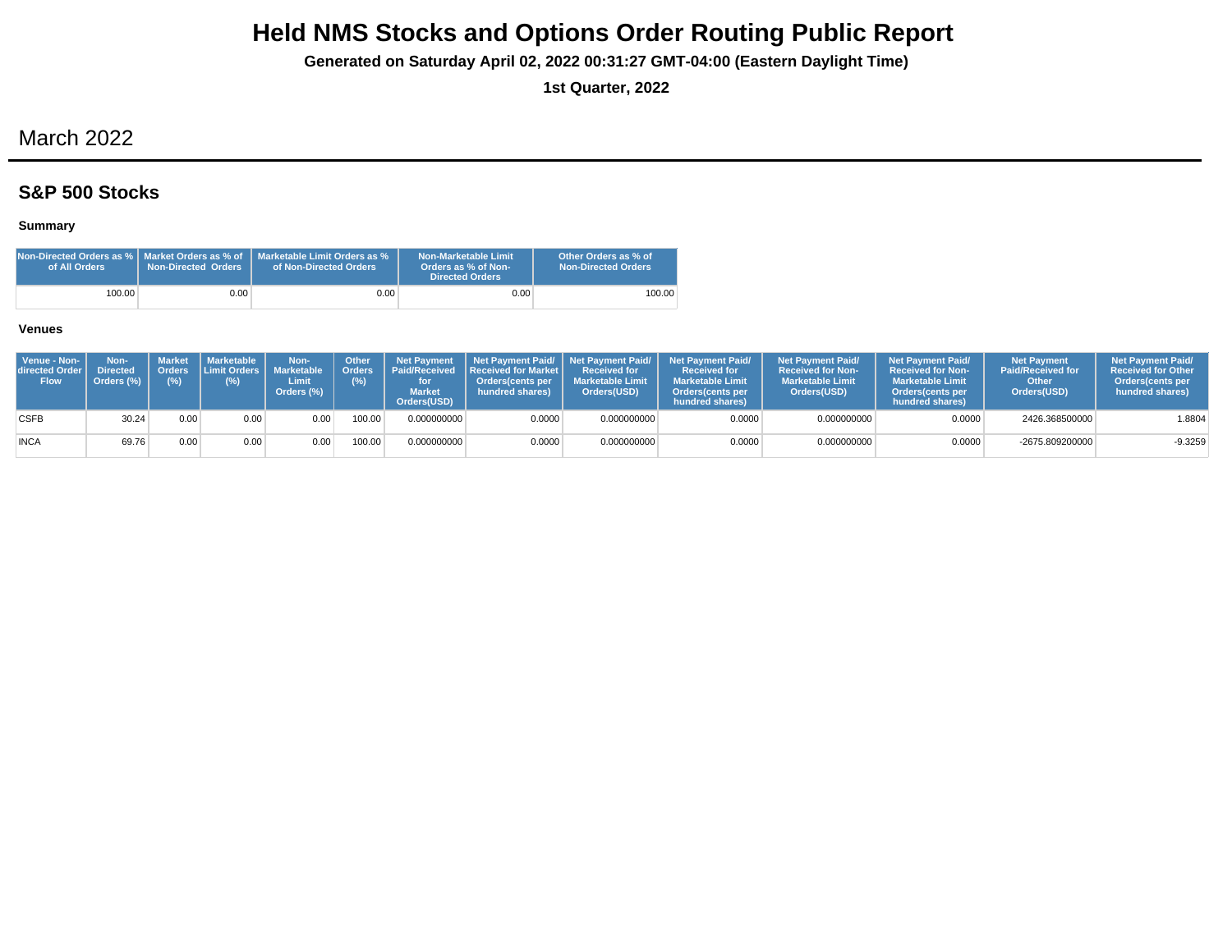**Generated on Saturday April 02, 2022 00:31:27 GMT-04:00 (Eastern Daylight Time)**

**1st Quarter, 2022**

## March 2022

### **S&P 500 Stocks**

### **Summary**

| Non-Directed Orders as %   Market Orders as % of<br>of All Orders | Non-Directed Orders | Marketable Limit Orders as %<br>of Non-Directed Orders | Non-Marketable Limit<br>Orders as % of Non-<br><b>Directed Orders</b> | Other Orders as % of<br><b>Non-Directed Orders</b> |
|-------------------------------------------------------------------|---------------------|--------------------------------------------------------|-----------------------------------------------------------------------|----------------------------------------------------|
| 100.00                                                            | 0.001               | 0.001                                                  | 0.00                                                                  | 100.00                                             |

| Venue - Non-<br>directed Order I<br><b>Flow</b> | Non-<br><b>Directed</b><br>Orders (%) | <b>Orders</b><br>(%) | Market   Marketable  <br>(%) | Non-<br><b>Limit Orders   Marketable</b><br>Limit<br>Orders (%) | <b>Other</b><br>(%) | <b>Market</b><br>Orders(USD) | Orders   Paid/Received   Received for Market  <br><b>Orders</b> (cents per<br>hundred shares) | <b>Received for</b><br><b>Marketable Limit</b><br>Orders(USD) | Net Payment Net Payment Paid/ Net Payment Paid/ Net Payment Paid/<br><b>Received for</b><br><b>Marketable Limit</b><br><b>Orders</b> (cents per<br>hundred shares) | <b>Net Payment Paid/</b><br><b>Received for Non-</b><br><b>Marketable Limit</b><br>Orders(USD) | <b>Net Payment Paid/</b><br><b>Received for Non-</b><br><b>Marketable Limit</b><br><b>Orders</b> (cents per<br>hundred shares) | <b>Net Payment</b><br><b>Paid/Received for</b><br>Other<br>Orders(USD) | <b>Net Payment Paid/</b><br><b>Received for Other</b><br><b>Orders</b> (cents per<br>hundred shares) |
|-------------------------------------------------|---------------------------------------|----------------------|------------------------------|-----------------------------------------------------------------|---------------------|------------------------------|-----------------------------------------------------------------------------------------------|---------------------------------------------------------------|--------------------------------------------------------------------------------------------------------------------------------------------------------------------|------------------------------------------------------------------------------------------------|--------------------------------------------------------------------------------------------------------------------------------|------------------------------------------------------------------------|------------------------------------------------------------------------------------------------------|
| <b>CSFB</b>                                     | 30.24                                 | 0.00                 | 0.00                         | 0.00                                                            | 100.00              | 0.000000000                  | 0.0000                                                                                        | 0.000000000                                                   | 0.0000                                                                                                                                                             | 0.000000000                                                                                    | 0.0000                                                                                                                         | 2426.368500000                                                         | 1.8804                                                                                               |
| <b>INCA</b>                                     | 69.76                                 | 0.00                 | 0.00                         | 0.00                                                            | 00.00               | 0.000000000                  | 0.0000                                                                                        | 0.000000000                                                   | 0.0000                                                                                                                                                             | 0.000000000                                                                                    | 0.0000                                                                                                                         | -2675.809200000                                                        | $-9.3259$                                                                                            |